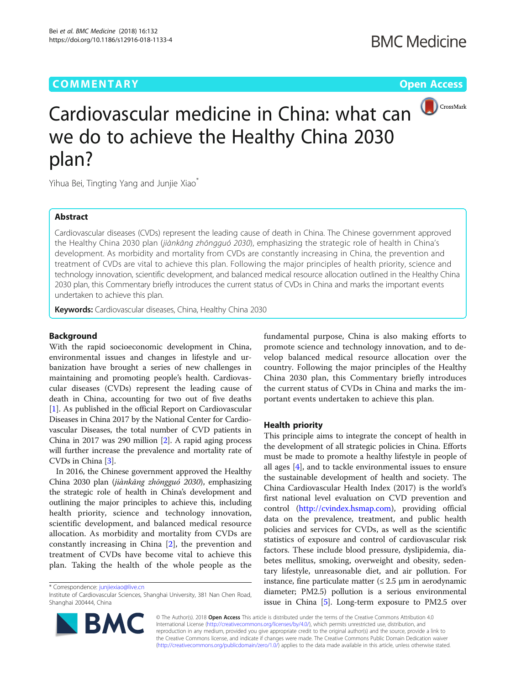# **COMMENTARY** COMMENTARY **COMMENTARY**



# Cardiovascular medicine in China: what can we do to achieve the Healthy China 2030 plan?

Yihua Bei, Tingting Yang and Junjie Xiao<sup>\*</sup>

## Abstract

Cardiovascular diseases (CVDs) represent the leading cause of death in China. The Chinese government approved the Healthy China 2030 plan (jiànkāng zhōngguó 2030), emphasizing the strategic role of health in China'<sup>s</sup> development. As morbidity and mortality from CVDs are constantly increasing in China, the prevention and treatment of CVDs are vital to achieve this plan. Following the major principles of health priority, science and technology innovation, scientific development, and balanced medical resource allocation outlined in the Healthy China 2030 plan, this Commentary briefly introduces the current status of CVDs in China and marks the important events undertaken to achieve this plan.

Keywords: Cardiovascular diseases, China, Healthy China 2030

### Background

With the rapid socioeconomic development in China, environmental issues and changes in lifestyle and urbanization have brought a series of new challenges in maintaining and promoting people's health. Cardiovascular diseases (CVDs) represent the leading cause of death in China, accounting for two out of five deaths [[1\]](#page-2-0). As published in the official Report on Cardiovascular Diseases in China 2017 by the National Center for Cardiovascular Diseases, the total number of CVD patients in China in 2017 was 290 million [[2](#page-2-0)]. A rapid aging process will further increase the prevalence and mortality rate of CVDs in China [[3\]](#page-2-0).

In 2016, the Chinese government approved the Healthy China 2030 plan (jiànkāng zhōngguó 2030), emphasizing the strategic role of health in China's development and outlining the major principles to achieve this, including health priority, science and technology innovation, scientific development, and balanced medical resource allocation. As morbidity and mortality from CVDs are constantly increasing in China [\[2](#page-2-0)], the prevention and treatment of CVDs have become vital to achieve this plan. Taking the health of the whole people as the

\* Correspondence: [junjiexiao@live.cn](mailto:junjiexiao@live.cn)



#### Health priority

This principle aims to integrate the concept of health in the development of all strategic policies in China. Efforts must be made to promote a healthy lifestyle in people of all ages [[4\]](#page-2-0), and to tackle environmental issues to ensure the sustainable development of health and society. The China Cardiovascular Health Index (2017) is the world's first national level evaluation on CVD prevention and control [\(http://cvindex.hsmap.com\)](http://cvindex.hsmap.com), providing official data on the prevalence, treatment, and public health policies and services for CVDs, as well as the scientific statistics of exposure and control of cardiovascular risk factors. These include blood pressure, dyslipidemia, diabetes mellitus, smoking, overweight and obesity, sedentary lifestyle, unreasonable diet, and air pollution. For instance, fine particulate matter  $( \le 2.5 \mu m)$  in aerodynamic diameter; PM2.5) pollution is a serious environmental issue in China [[5](#page-2-0)]. Long-term exposure to PM2.5 over



© The Author(s). 2018 Open Access This article is distributed under the terms of the Creative Commons Attribution 4.0 International License [\(http://creativecommons.org/licenses/by/4.0/](http://creativecommons.org/licenses/by/4.0/)), which permits unrestricted use, distribution, and reproduction in any medium, provided you give appropriate credit to the original author(s) and the source, provide a link to the Creative Commons license, and indicate if changes were made. The Creative Commons Public Domain Dedication waiver [\(http://creativecommons.org/publicdomain/zero/1.0/](http://creativecommons.org/publicdomain/zero/1.0/)) applies to the data made available in this article, unless otherwise stated.

Institute of Cardiovascular Sciences, Shanghai University, 381 Nan Chen Road, Shanghai 200444, China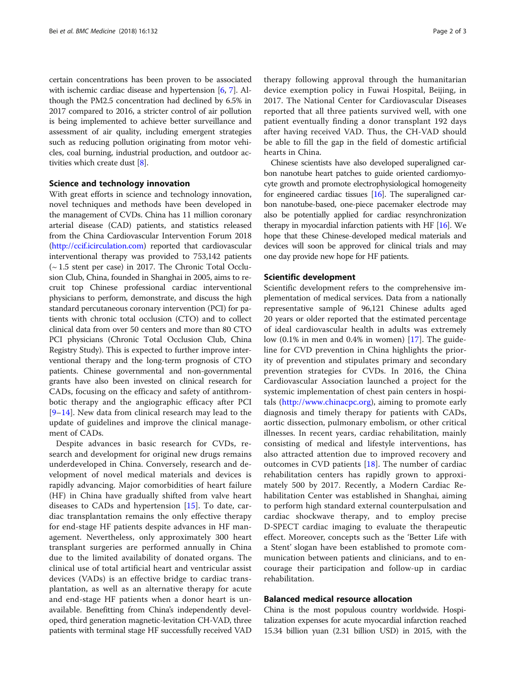certain concentrations has been proven to be associated with ischemic cardiac disease and hypertension [\[6](#page-2-0), [7](#page-2-0)]. Although the PM2.5 concentration had declined by 6.5% in 2017 compared to 2016, a stricter control of air pollution is being implemented to achieve better surveillance and assessment of air quality, including emergent strategies such as reducing pollution originating from motor vehicles, coal burning, industrial production, and outdoor activities which create dust [\[8](#page-2-0)].

#### Science and technology innovation

With great efforts in science and technology innovation, novel techniques and methods have been developed in the management of CVDs. China has 11 million coronary arterial disease (CAD) patients, and statistics released from the China Cardiovascular Intervention Forum 2018 ([http://ccif.icirculation.com\)](http://ccif.icirculation.com) reported that cardiovascular interventional therapy was provided to 753,142 patients (~ 1.5 stent per case) in 2017. The Chronic Total Occlusion Club, China, founded in Shanghai in 2005, aims to recruit top Chinese professional cardiac interventional physicians to perform, demonstrate, and discuss the high standard percutaneous coronary intervention (PCI) for patients with chronic total occlusion (CTO) and to collect clinical data from over 50 centers and more than 80 CTO PCI physicians (Chronic Total Occlusion Club, China Registry Study). This is expected to further improve interventional therapy and the long-term prognosis of CTO patients. Chinese governmental and non-governmental grants have also been invested on clinical research for CADs, focusing on the efficacy and safety of antithrombotic therapy and the angiographic efficacy after PCI  $[9-14]$  $[9-14]$  $[9-14]$  $[9-14]$ . New data from clinical research may lead to the update of guidelines and improve the clinical management of CADs.

Despite advances in basic research for CVDs, research and development for original new drugs remains underdeveloped in China. Conversely, research and development of novel medical materials and devices is rapidly advancing. Major comorbidities of heart failure (HF) in China have gradually shifted from valve heart diseases to CADs and hypertension [[15\]](#page-2-0). To date, cardiac transplantation remains the only effective therapy for end-stage HF patients despite advances in HF management. Nevertheless, only approximately 300 heart transplant surgeries are performed annually in China due to the limited availability of donated organs. The clinical use of total artificial heart and ventricular assist devices (VADs) is an effective bridge to cardiac transplantation, as well as an alternative therapy for acute and end-stage HF patients when a donor heart is unavailable. Benefitting from China's independently developed, third generation magnetic-levitation CH-VAD, three patients with terminal stage HF successfully received VAD therapy following approval through the humanitarian device exemption policy in Fuwai Hospital, Beijing, in 2017. The National Center for Cardiovascular Diseases reported that all three patients survived well, with one patient eventually finding a donor transplant 192 days after having received VAD. Thus, the CH-VAD should be able to fill the gap in the field of domestic artificial hearts in China.

Chinese scientists have also developed superaligned carbon nanotube heart patches to guide oriented cardiomyocyte growth and promote electrophysiological homogeneity for engineered cardiac tissues [\[16\]](#page-2-0). The superaligned carbon nanotube-based, one-piece pacemaker electrode may also be potentially applied for cardiac resynchronization therapy in myocardial infarction patients with HF  $[16]$  $[16]$ . We hope that these Chinese-developed medical materials and devices will soon be approved for clinical trials and may one day provide new hope for HF patients.

#### Scientific development

Scientific development refers to the comprehensive implementation of medical services. Data from a nationally representative sample of 96,121 Chinese adults aged 20 years or older reported that the estimated percentage of ideal cardiovascular health in adults was extremely low (0.1% in men and 0.4% in women) [[17\]](#page-2-0). The guideline for CVD prevention in China highlights the priority of prevention and stipulates primary and secondary prevention strategies for CVDs. In 2016, the China Cardiovascular Association launched a project for the systemic implementation of chest pain centers in hospitals [\(http://www.chinacpc.org](http://www.chinacpc.org)), aiming to promote early diagnosis and timely therapy for patients with CADs, aortic dissection, pulmonary embolism, or other critical illnesses. In recent years, cardiac rehabilitation, mainly consisting of medical and lifestyle interventions, has also attracted attention due to improved recovery and outcomes in CVD patients [\[18](#page-2-0)]. The number of cardiac rehabilitation centers has rapidly grown to approximately 500 by 2017. Recently, a Modern Cardiac Rehabilitation Center was established in Shanghai, aiming to perform high standard external counterpulsation and cardiac shockwave therapy, and to employ precise D-SPECT cardiac imaging to evaluate the therapeutic effect. Moreover, concepts such as the 'Better Life with a Stent' slogan have been established to promote communication between patients and clinicians, and to encourage their participation and follow-up in cardiac rehabilitation.

### Balanced medical resource allocation

China is the most populous country worldwide. Hospitalization expenses for acute myocardial infarction reached 15.34 billion yuan (2.31 billion USD) in 2015, with the